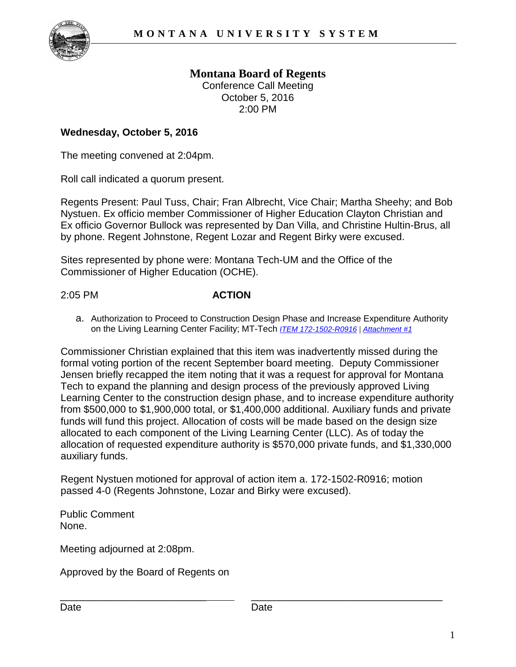

**Montana Board of Regents**  Conference Call Meeting October 5, 2016 2:00 PM

## **Wednesday, October 5, 2016**

The meeting convened at 2:04pm.

Roll call indicated a quorum present.

Regents Present: Paul Tuss, Chair; Fran Albrecht, Vice Chair; Martha Sheehy; and Bob Nystuen. Ex officio member Commissioner of Higher Education Clayton Christian and Ex officio Governor Bullock was represented by Dan Villa, and Christine Hultin-Brus, all by phone. Regent Johnstone, Regent Lozar and Regent Birky were excused.

Sites represented by phone were: Montana Tech-UM and the Office of the Commissioner of Higher Education (OCHE).

## 2:05 PM **ACTION**

a. Authorization to Proceed to Construction Design Phase and Increase Expenditure Authority on the Living Learning Center Facility; MT-Tech *[ITEM 172-1502-R0916](http://mus.edu/board/meetings/2016/Sept2016/AdminBudget/172-1502-R0916.pdf) | [Attachment #1](http://mus.edu/board/meetings/2016/Sept2016/AdminBudget/172-1502-R0916_A1.pdf)*

Commissioner Christian explained that this item was inadvertently missed during the formal voting portion of the recent September board meeting. Deputy Commissioner Jensen briefly recapped the item noting that it was a request for approval for Montana Tech to expand the planning and design process of the previously approved Living Learning Center to the construction design phase, and to increase expenditure authority from \$500,000 to \$1,900,000 total, or \$1,400,000 additional. Auxiliary funds and private funds will fund this project. Allocation of costs will be made based on the design size allocated to each component of the Living Learning Center (LLC). As of today the allocation of requested expenditure authority is \$570,000 private funds, and \$1,330,000 auxiliary funds.

Regent Nystuen motioned for approval of action item a. 172-1502-R0916; motion passed 4-0 (Regents Johnstone, Lozar and Birky were excused).

Public Comment None.

Meeting adjourned at 2:08pm.

Approved by the Board of Regents on

\_\_\_\_\_\_\_\_\_\_\_\_\_\_\_\_\_\_\_\_\_\_\_\_\_\_ \_\_\_\_\_\_\_\_\_\_\_\_\_\_\_\_\_\_\_\_\_\_\_\_\_\_\_\_\_\_\_\_\_\_